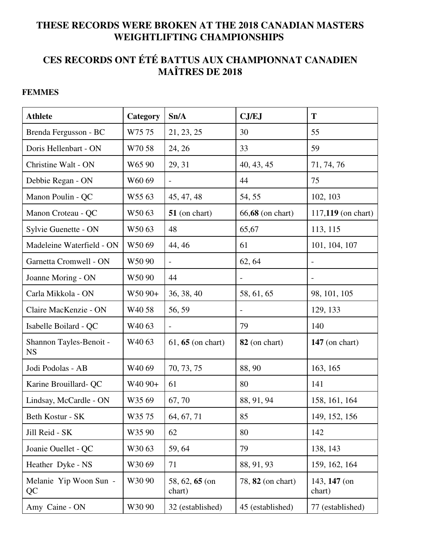### **THESE RECORDS WERE BROKEN AT THE 2018 CANADIAN MASTERS WEIGHTLIFTING CHAMPIONSHIPS**

# **CES RECORDS ONT ÉTÉ BATTUS AUX CHAMPIONNAT CANADIEN MAÎTRES DE 2018**

### **FEMMES**

| <b>Athlete</b>                       | Category            | Sn/A                     | CJ/EJ                    | T                      |
|--------------------------------------|---------------------|--------------------------|--------------------------|------------------------|
| Brenda Fergusson - BC                | W7575               | 21, 23, 25               | 30                       | 55                     |
| Doris Hellenbart - ON                | W7058               | 24, 26                   | 33                       | 59                     |
| Christine Walt - ON                  | W65 90              | 29, 31                   | 40, 43, 45               | 71, 74, 76             |
| Debbie Regan - ON                    | W6069               | $\overline{\phantom{0}}$ | 44                       | 75                     |
| Manon Poulin - QC                    | W5563               | 45, 47, 48               | 54, 55                   | 102, 103               |
| Manon Croteau - QC                   | W5063               | $51$ (on chart)          | 66,68 (on chart)         | 117,119 (on chart)     |
| Sylvie Guenette - ON                 | W5063               | 48                       | 65,67                    | 113, 115               |
| Madeleine Waterfield - ON            | W5069               | 44, 46                   | 61                       | 101, 104, 107          |
| Garnetta Cromwell - ON               | W5090               |                          | 62, 64                   |                        |
| Joanne Moring - ON                   | W5090               | 44                       |                          |                        |
| Carla Mikkola - ON                   | W50 90+             | 36, 38, 40               | 58, 61, 65               | 98, 101, 105           |
| Claire MacKenzie - ON                | W <sub>40</sub> 58  | 56, 59                   |                          | 129, 133               |
| Isabelle Boilard - QC                | W <sub>40</sub> 63  | $\overline{a}$           | 79                       | 140                    |
| Shannon Tayles-Benoit -<br><b>NS</b> | W <sub>40</sub> 63  | $61, 65$ (on chart)      | 82 (on chart)            | $147$ (on chart)       |
| Jodi Podolas - AB                    | W <sub>40</sub> 69  | 70, 73, 75               | 88,90                    | 163, 165               |
| Karine Brouillard-QC                 | W <sub>40</sub> 90+ | 61                       | 80                       | 141                    |
| Lindsay, McCardle - ON               | W3569               | 67,70                    | 88, 91, 94               | 158, 161, 164          |
| Beth Kostur - SK                     | W3575               | 64, 67, 71               | 85                       | 149, 152, 156          |
| Jill Reid - SK                       | W35 90              | 62                       | 80                       | 142                    |
| Joanie Ouellet - QC                  | W3063               | 59,64                    | 79                       | 138, 143               |
| Heather Dyke - NS                    | W3069               | 71                       | 88, 91, 93               | 159, 162, 164          |
| Melanie Yip Woon Sun -<br>QC         | W30 90              | 58, 62, 65 (on<br>chart) | 78, <b>82</b> (on chart) | 143, 147 (on<br>chart) |
| Amy Caine - ON                       | W30 90              | 32 (established)         | 45 (established)         | 77 (established)       |